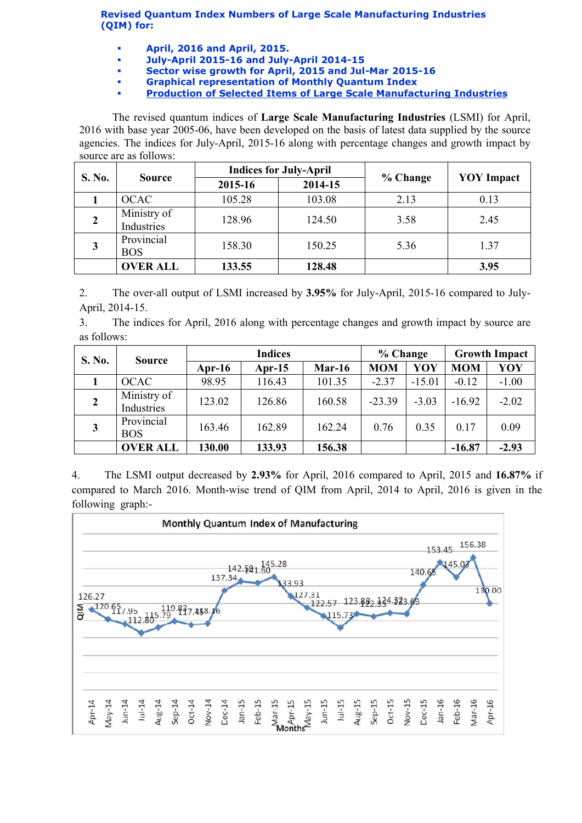Revised Quantum Index Numbers of Large Scale Manufacturing Industries (QIM) for:

- April, 2016 and April, 2015.
- July-April 2015-16 and July-April 2014-15
- Sector wise growth for April, 2015 and Jul-Mar 2015-16
- Graphical representation of Monthly Quantum Index
- [Production of Selected Items of Large Scale Manufacturing Industries](http://www.statpak.gov.pk/depts/fbs/statistics/qim/qim_details.pdf)

The revised quantum indices of Large Scale Manufacturing Industries (LSMI) for April, 2016 with base year 2005-06, have been developed on the basis of latest data supplied by the source agencies. The indices for July-April, 2015-16 along with percentage changes and growth impact by source are as follows:

| S. No. | <b>Source</b>             |         | <b>Indices for July-April</b> |          | <b>YOY</b> Impact |  |
|--------|---------------------------|---------|-------------------------------|----------|-------------------|--|
|        |                           | 2015-16 | 2014-15                       | % Change |                   |  |
|        | <b>OCAC</b>               | 105.28  | 103.08                        | 2.13     | 0.13              |  |
|        | Ministry of<br>Industries | 128.96  | 124.50                        | 3.58     | 2.45              |  |
| 3      | Provincial<br><b>BOS</b>  | 158.30  | 150.25                        | 5.36     | 1.37              |  |
|        | <b>OVER ALL</b>           | 133.55  | 128.48                        |          | 3.95              |  |

2. The over-all output of LSMI increased by 3.95% for July-April, 2015-16 compared to July-April, 2014-15.

3. The indices for April, 2016 along with percentage changes and growth impact by source are as follows:

| S. No.         | <b>Source</b>             | <b>Indices</b> |           |          | % Change   |          | <b>Growth Impact</b> |         |
|----------------|---------------------------|----------------|-----------|----------|------------|----------|----------------------|---------|
|                |                           | Apr-16         | Apr- $15$ | $Mar-16$ | <b>MOM</b> | YOY      | <b>MOM</b>           | YOY     |
|                | <b>OCAC</b>               | 98.95          | 116.43    | 101.35   | $-2.37$    | $-15.01$ | $-0.12$              | $-1.00$ |
| $\overline{2}$ | Ministry of<br>Industries | 123.02         | 126.86    | 160.58   | $-23.39$   | $-3.03$  | $-16.92$             | $-2.02$ |
| 3              | Provincial<br><b>BOS</b>  | 163.46         | 162.89    | 162.24   | 0.76       | 0.35     | 0.17                 | 0.09    |
|                | <b>OVER ALL</b>           | 130.00         | 133.93    | 156.38   |            |          | $-16.87$             | $-2.93$ |

4. The LSMI output decreased by 2.93% for April, 2016 compared to April, 2015 and 16.87% if compared to March 2016. Month-wise trend of QIM from April, 2014 to April, 2016 is given in the following graph:-